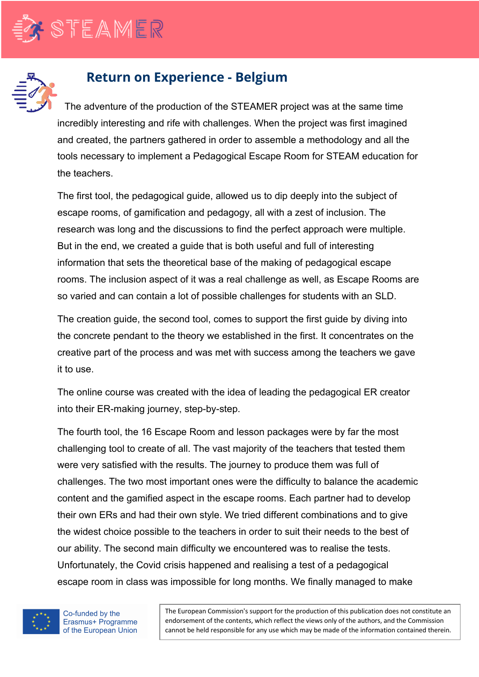

## **Return on Experience - Belgium**

The adventure of the production of the STEAMER project was at the same time incredibly interesting and rife with challenges. When the project was first imagined and created, the partners gathered in order to assemble a methodology and all the tools necessary to implement a Pedagogical Escape Room for STEAM education for the teachers.

The first tool, the pedagogical guide, allowed us to dip deeply into the subject of escape rooms, of gamification and pedagogy, all with a zest of inclusion. The research was long and the discussions to find the perfect approach were multiple. But in the end, we created a guide that is both useful and full of interesting information that sets the theoretical base of the making of pedagogical escape rooms. The inclusion aspect of it was a real challenge as well, as Escape Rooms are so varied and can contain a lot of possible challenges for students with an SLD.

The creation guide, the second tool, comes to support the first guide by diving into the concrete pendant to the theory we established in the first. It concentrates on the creative part of the process and was met with success among the teachers we gave it to use.

The online course was created with the idea of leading the pedagogical ER creator into their ER-making journey, step-by-step.

The fourth tool, the 16 Escape Room and lesson packages were by far the most challenging tool to create of all. The vast majority of the teachers that tested them were very satisfied with the results. The journey to produce them was full of challenges. The two most important ones were the difficulty to balance the academic content and the gamified aspect in the escape rooms. Each partner had to develop their own ERs and had their own style. We tried different combinations and to give the widest choice possible to the teachers in order to suit their needs to the best of our ability. The second main difficulty we encountered was to realise the tests. Unfortunately, the Covid crisis happened and realising a test of a pedagogical escape room in class was impossible for long months. We finally managed to make



The European Commission's support for the production of this publication does not constitute an endorsement of the contents, which reflect the views only of the authors, and the Commission cannot be held responsible for any use which may be made of the information contained therein.